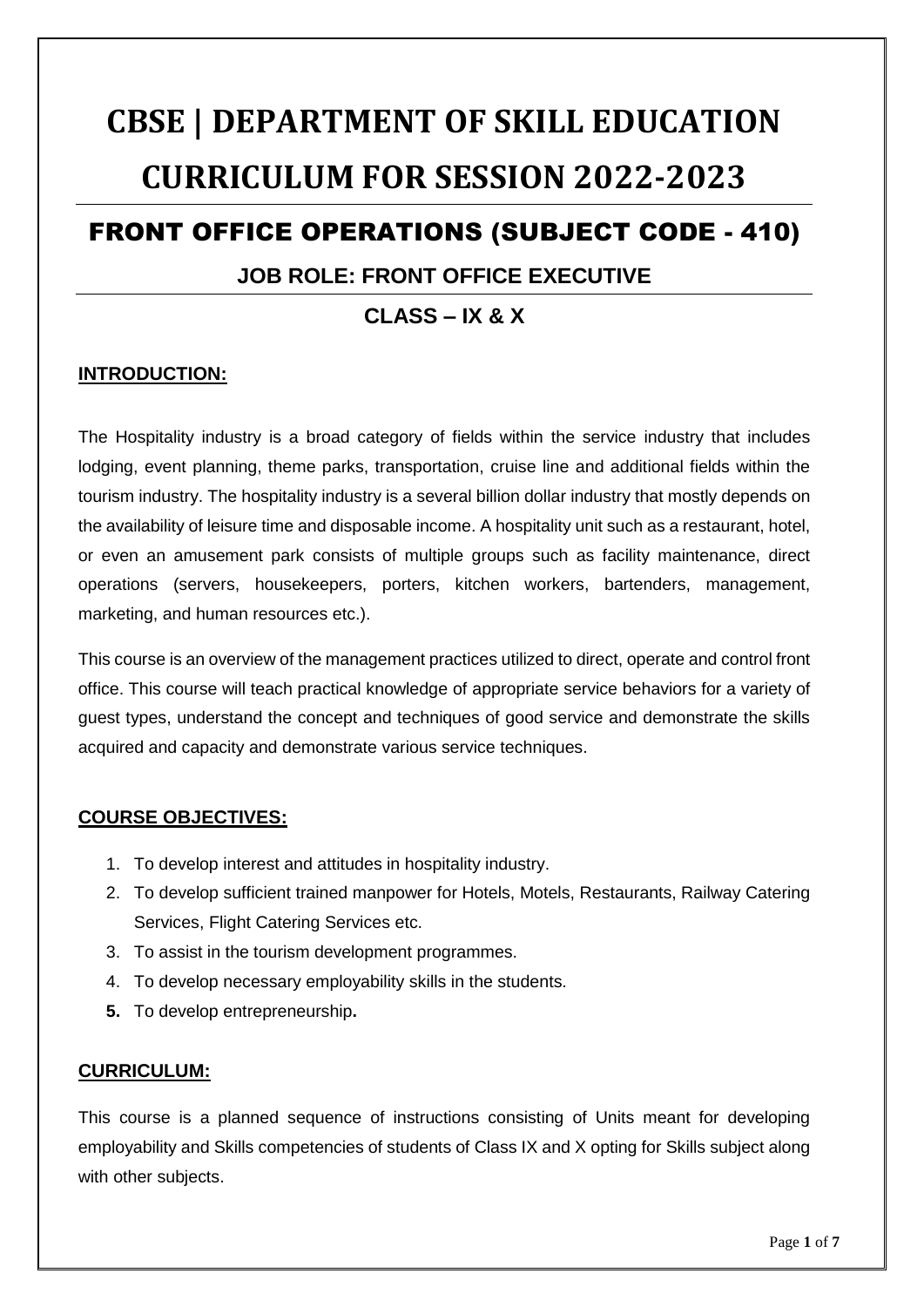# **CBSE | DEPARTMENT OF SKILL EDUCATION CURRICULUM FOR SESSION 2022-2023**

## FRONT OFFICE OPERATIONS (SUBJECT CODE - 410)

### **JOB ROLE: FRONT OFFICE EXECUTIVE**

## **CLASS – IX & X**

#### **INTRODUCTION:**

The Hospitality industry is a broad category of fields within the service industry that includes lodging, event planning, theme parks, transportation, cruise line and additional fields within the tourism industry. The hospitality industry is a several billion dollar industry that mostly depends on the availability of leisure time and disposable income. A hospitality unit such as a restaurant, hotel, or even an amusement park consists of multiple groups such as facility maintenance, direct operations (servers, housekeepers, porters, kitchen workers, bartenders, management, marketing, and human resources etc.).

This course is an overview of the management practices utilized to direct, operate and control front office. This course will teach practical knowledge of appropriate service behaviors for a variety of guest types, understand the concept and techniques of good service and demonstrate the skills acquired and capacity and demonstrate various service techniques.

#### **COURSE OBJECTIVES:**

- 1. To develop interest and attitudes in hospitality industry.
- 2. To develop sufficient trained manpower for Hotels, Motels, Restaurants, Railway Catering Services, Flight Catering Services etc.
- 3. To assist in the tourism development programmes.
- 4. To develop necessary employability skills in the students.
- **5.** To develop entrepreneurship**.**

#### **CURRICULUM:**

This course is a planned sequence of instructions consisting of Units meant for developing employability and Skills competencies of students of Class IX and X opting for Skills subject along with other subjects.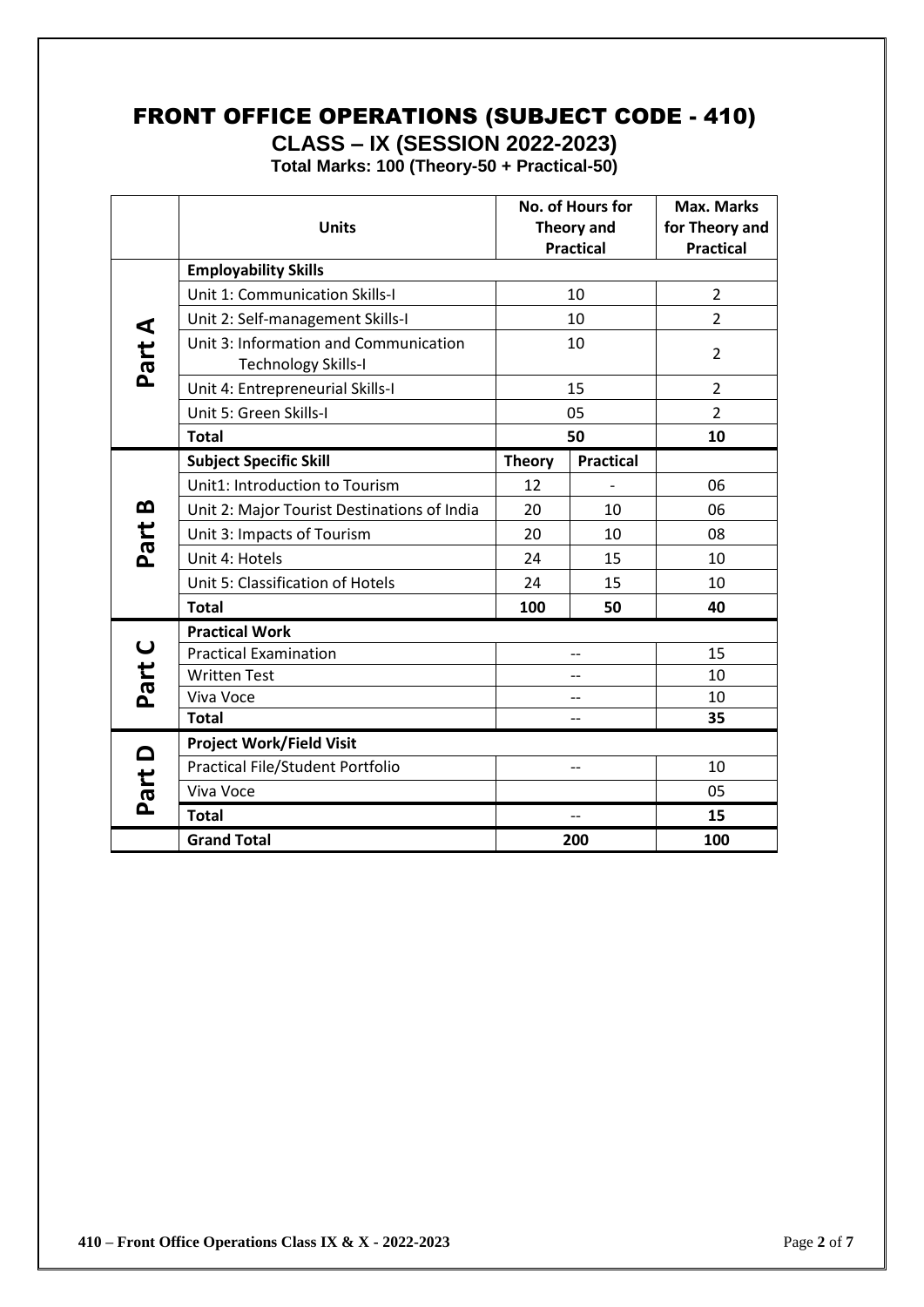## FRONT OFFICE OPERATIONS (SUBJECT CODE - 410) **CLASS – IX (SESSION 2022-2023)**

**Total Marks: 100 (Theory-50 + Practical-50)**

|                   |                                                                     | No. of Hours for<br><b>Theory and</b><br><b>Units</b> |                  | <b>Max. Marks</b> |  |
|-------------------|---------------------------------------------------------------------|-------------------------------------------------------|------------------|-------------------|--|
|                   |                                                                     |                                                       |                  | for Theory and    |  |
|                   | <b>Practical</b>                                                    |                                                       |                  | <b>Practical</b>  |  |
|                   | <b>Employability Skills</b>                                         |                                                       |                  |                   |  |
|                   | Unit 1: Communication Skills-I                                      | 10                                                    |                  | $\overline{2}$    |  |
|                   | Unit 2: Self-management Skills-I                                    | 10                                                    |                  | $\overline{2}$    |  |
| Part A            | Unit 3: Information and Communication<br><b>Technology Skills-I</b> | 10                                                    |                  | $\overline{2}$    |  |
|                   | Unit 4: Entrepreneurial Skills-I                                    |                                                       | 15               | $\overline{2}$    |  |
|                   | Unit 5: Green Skills-I                                              | 05                                                    |                  | $\overline{2}$    |  |
|                   | <b>Total</b>                                                        | 50                                                    |                  | 10                |  |
|                   | <b>Subject Specific Skill</b>                                       | <b>Theory</b>                                         | <b>Practical</b> |                   |  |
|                   | Unit1: Introduction to Tourism                                      | 12                                                    |                  | 06                |  |
| മ                 | Unit 2: Major Tourist Destinations of India                         | 20                                                    | 10               | 06                |  |
| Part              | Unit 3: Impacts of Tourism                                          | 20                                                    | 10               | 08                |  |
|                   | Unit 4: Hotels                                                      | 24                                                    | 15               | 10                |  |
|                   | Unit 5: Classification of Hotels                                    | 24                                                    | 15               | 10                |  |
|                   | <b>Total</b>                                                        | 100                                                   | 50               | 40                |  |
|                   | <b>Practical Work</b>                                               |                                                       |                  |                   |  |
| $\cup$            | <b>Practical Examination</b>                                        | --                                                    |                  | 15                |  |
| Part              | <b>Written Test</b>                                                 | $-$                                                   |                  | 10                |  |
|                   | Viva Voce                                                           | $-$                                                   |                  | 10                |  |
|                   | <b>Total</b>                                                        | $\overline{a}$                                        |                  | 35                |  |
| $\mathbf{\Omega}$ | <b>Project Work/Field Visit</b>                                     |                                                       |                  |                   |  |
|                   | Practical File/Student Portfolio                                    | $-$                                                   |                  | 10                |  |
| Part              | Viva Voce                                                           |                                                       |                  | 05                |  |
|                   | <b>Total</b>                                                        | $\overline{\phantom{a}}$                              |                  | 15                |  |
|                   | <b>Grand Total</b><br>200                                           |                                                       |                  | 100               |  |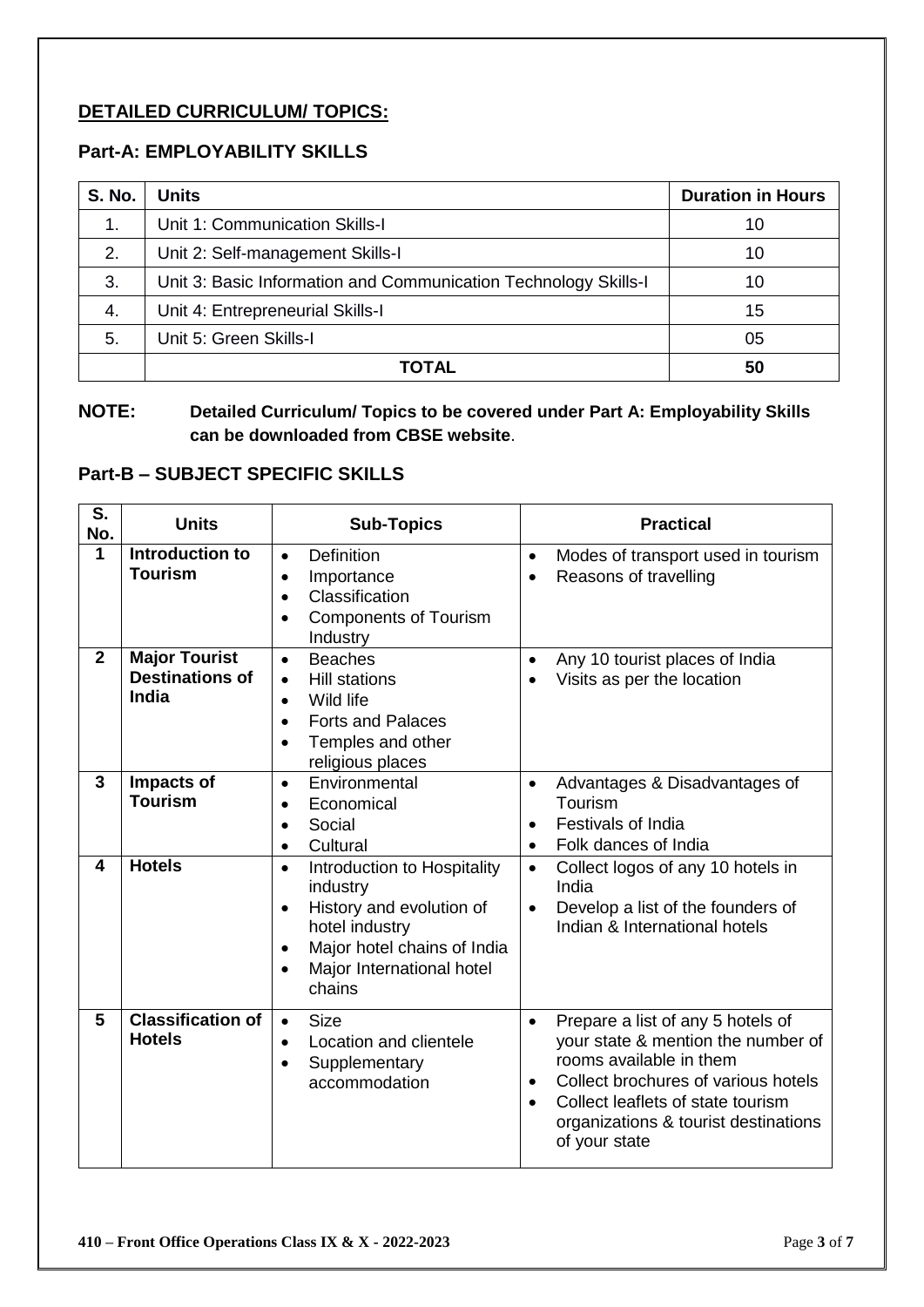#### **DETAILED CURRICULUM/ TOPICS:**

#### **Part-A: EMPLOYABILITY SKILLS**

| <b>S. No.</b> | <b>Units</b>                                                    | <b>Duration in Hours</b> |
|---------------|-----------------------------------------------------------------|--------------------------|
| $\mathbf 1$ . | Unit 1: Communication Skills-I                                  | 10                       |
| 2.            | Unit 2: Self-management Skills-I                                | 10                       |
| 3.            | Unit 3: Basic Information and Communication Technology Skills-I | 10                       |
| 4.            | Unit 4: Entrepreneurial Skills-I                                | 15                       |
| 5.            | Unit 5: Green Skills-I                                          | 05                       |
|               | TOTAL                                                           | 50                       |

**NOTE: Detailed Curriculum/ Topics to be covered under Part A: Employability Skills can be downloaded from CBSE website**.

#### **Part-B – SUBJECT SPECIFIC SKILLS**

| S.<br>No.    | <b>Units</b>                                            | <b>Sub-Topics</b>                                                                                                                                                                                               | <b>Practical</b>                    |                                                                                                                                                                                                                                         |
|--------------|---------------------------------------------------------|-----------------------------------------------------------------------------------------------------------------------------------------------------------------------------------------------------------------|-------------------------------------|-----------------------------------------------------------------------------------------------------------------------------------------------------------------------------------------------------------------------------------------|
| $\mathbf{1}$ | Introduction to<br><b>Tourism</b>                       | <b>Definition</b><br>$\bullet$<br>Importance<br>$\bullet$<br>Classification<br>$\bullet$<br><b>Components of Tourism</b><br>Industry                                                                            | $\bullet$<br>$\bullet$              | Modes of transport used in tourism<br>Reasons of travelling                                                                                                                                                                             |
| $\mathbf{2}$ | <b>Major Tourist</b><br><b>Destinations of</b><br>India | <b>Beaches</b><br>$\bullet$<br><b>Hill stations</b><br>$\bullet$<br>Wild life<br>$\bullet$<br><b>Forts and Palaces</b><br>$\bullet$<br>Temples and other<br>religious places                                    | $\bullet$                           | Any 10 tourist places of India<br>Visits as per the location                                                                                                                                                                            |
| $\mathbf{3}$ | Impacts of<br><b>Tourism</b>                            | Environmental<br>$\bullet$<br>Economical<br>$\bullet$<br>Social<br>$\bullet$<br>Cultural<br>$\bullet$                                                                                                           | $\bullet$<br>$\bullet$<br>$\bullet$ | Advantages & Disadvantages of<br>Tourism<br><b>Festivals of India</b><br>Folk dances of India                                                                                                                                           |
| 4            | <b>Hotels</b>                                           | Introduction to Hospitality<br>$\bullet$<br>industry<br>History and evolution of<br>$\bullet$<br>hotel industry<br>Major hotel chains of India<br>$\bullet$<br>Major International hotel<br>$\bullet$<br>chains | $\bullet$<br>$\bullet$              | Collect logos of any 10 hotels in<br>India<br>Develop a list of the founders of<br>Indian & International hotels                                                                                                                        |
| 5            | <b>Classification of</b><br><b>Hotels</b>               | <b>Size</b><br>$\bullet$<br>Location and clientele<br>$\bullet$<br>Supplementary<br>$\bullet$<br>accommodation                                                                                                  | $\bullet$<br>$\bullet$<br>$\bullet$ | Prepare a list of any 5 hotels of<br>your state & mention the number of<br>rooms available in them<br>Collect brochures of various hotels<br>Collect leaflets of state tourism<br>organizations & tourist destinations<br>of your state |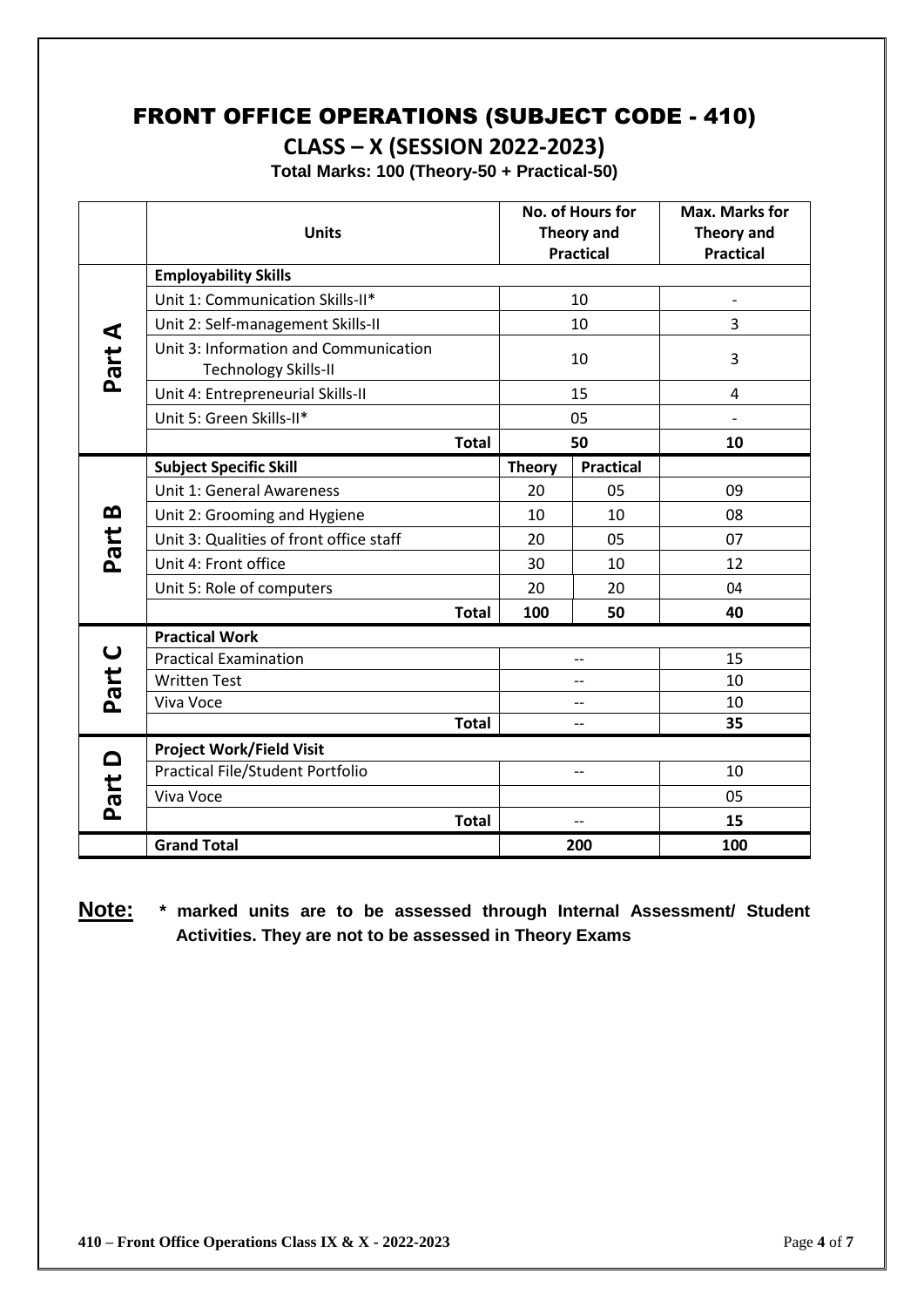## FRONT OFFICE OPERATIONS (SUBJECT CODE - 410)

**CLASS – X (SESSION 2022-2023)**

**Total Marks: 100 (Theory-50 + Practical-50)**

|                       | <b>Units</b>                                                         |              | No. of Hours for<br><b>Theory and</b><br><b>Practical</b> |                  | <b>Max. Marks for</b><br><b>Theory and</b><br><b>Practical</b> |
|-----------------------|----------------------------------------------------------------------|--------------|-----------------------------------------------------------|------------------|----------------------------------------------------------------|
|                       | <b>Employability Skills</b>                                          |              |                                                           |                  |                                                                |
|                       | Unit 1: Communication Skills-II*                                     |              | 10                                                        |                  | $\overline{\phantom{a}}$                                       |
|                       | Unit 2: Self-management Skills-II                                    |              | 10                                                        |                  | 3                                                              |
| Part A                | Unit 3: Information and Communication<br><b>Technology Skills-II</b> |              | 10                                                        |                  | 3                                                              |
|                       | Unit 4: Entrepreneurial Skills-II                                    |              |                                                           | 15               | $\overline{4}$                                                 |
|                       | Unit 5: Green Skills-II*                                             |              | 05                                                        |                  |                                                                |
|                       |                                                                      | <b>Total</b> | 50                                                        |                  | 10                                                             |
|                       | <b>Subject Specific Skill</b>                                        |              | <b>Theory</b>                                             | <b>Practical</b> |                                                                |
|                       | Unit 1: General Awareness                                            |              | 20                                                        | 05               | 09                                                             |
| മ                     | Unit 2: Grooming and Hygiene                                         |              | 10                                                        | 10               | 08                                                             |
| Part                  | Unit 3: Qualities of front office staff                              |              | 20                                                        | 05               | 07                                                             |
|                       | Unit 4: Front office                                                 |              | 30                                                        | 10               | 12                                                             |
|                       | Unit 5: Role of computers                                            |              | 20                                                        | 20               | 04                                                             |
|                       |                                                                      | <b>Total</b> | 100                                                       | 50               | 40                                                             |
|                       | <b>Practical Work</b>                                                |              |                                                           |                  |                                                                |
| $\mathbf{\mathsf{C}}$ | <b>Practical Examination</b>                                         |              | --                                                        |                  | 15                                                             |
| Part                  | <b>Written Test</b>                                                  |              | $\overline{\phantom{a}}$                                  |                  | 10                                                             |
|                       | Viva Voce                                                            |              | $\overline{\phantom{a}}$                                  |                  | 10                                                             |
|                       |                                                                      | <b>Total</b> | --                                                        |                  | 35                                                             |
| Part D                | <b>Project Work/Field Visit</b>                                      |              |                                                           |                  |                                                                |
|                       | <b>Practical File/Student Portfolio</b>                              |              | $\overline{\phantom{a}}$                                  |                  | 10                                                             |
|                       | Viva Voce                                                            |              |                                                           |                  | 05                                                             |
|                       |                                                                      | <b>Total</b> | $\overline{\phantom{a}}$                                  |                  | 15                                                             |
|                       | <b>Grand Total</b>                                                   |              |                                                           | 200              | 100                                                            |

**Note: \* marked units are to be assessed through Internal Assessment/ Student Activities. They are not to be assessed in Theory Exams**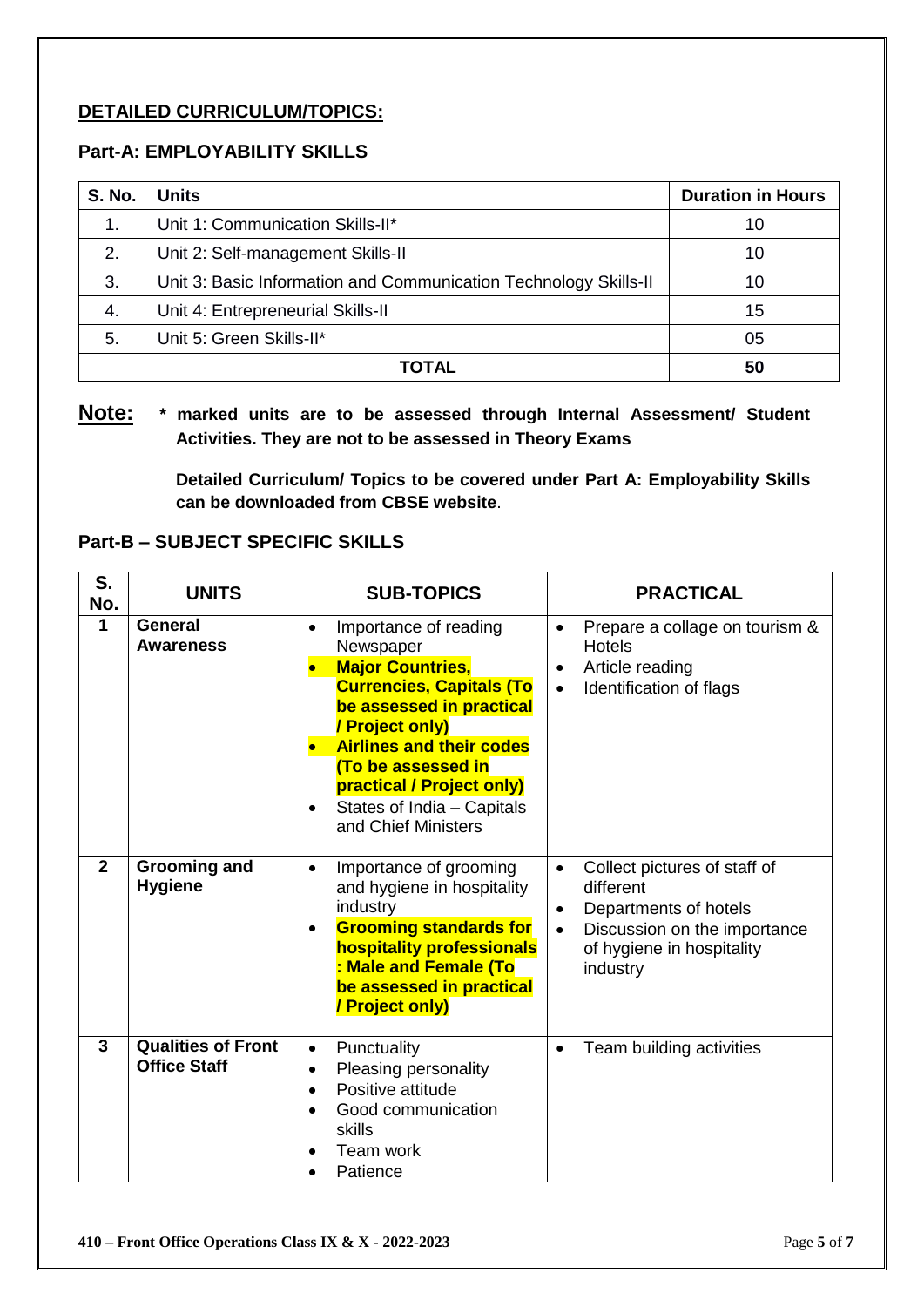#### **DETAILED CURRICULUM/TOPICS:**

#### **Part-A: EMPLOYABILITY SKILLS**

| <b>S. No.</b> | Units                                                            | <b>Duration in Hours</b> |
|---------------|------------------------------------------------------------------|--------------------------|
| $\mathbf 1$ . | Unit 1: Communication Skills-II*                                 | 10                       |
| 2.            | Unit 2: Self-management Skills-II                                | 10                       |
| 3.            | Unit 3: Basic Information and Communication Technology Skills-II | 10                       |
| -4.           | Unit 4: Entrepreneurial Skills-II                                | 15                       |
| 5.            | Unit 5: Green Skills-II*                                         | 05                       |
|               | TOTAL                                                            | 50                       |

#### **Note: \* marked units are to be assessed through Internal Assessment/ Student Activities. They are not to be assessed in Theory Exams**

**Detailed Curriculum/ Topics to be covered under Part A: Employability Skills can be downloaded from CBSE website**.

#### **Part-B – SUBJECT SPECIFIC SKILLS**

| S.<br>No.      | <b>UNITS</b>                                     | <b>SUB-TOPICS</b>                                                                                                                                                                                                                                                                                       | <b>PRACTICAL</b>                                                                                                                                                                   |  |
|----------------|--------------------------------------------------|---------------------------------------------------------------------------------------------------------------------------------------------------------------------------------------------------------------------------------------------------------------------------------------------------------|------------------------------------------------------------------------------------------------------------------------------------------------------------------------------------|--|
| $\mathbf{1}$   | General<br><b>Awareness</b>                      | Importance of reading<br>$\bullet$<br>Newspaper<br><b>Major Countries,</b><br><b>Currencies, Capitals (To</b><br>be assessed in practical<br>/ Project only)<br><b>Airlines and their codes</b><br>(To be assessed in<br>practical / Project only)<br>States of India - Capitals<br>and Chief Ministers | Prepare a collage on tourism &<br>$\bullet$<br><b>Hotels</b><br>Article reading<br>$\bullet$<br>Identification of flags<br>$\bullet$                                               |  |
| $\overline{2}$ | <b>Grooming and</b><br><b>Hygiene</b>            | Importance of grooming<br>$\bullet$<br>and hygiene in hospitality<br>industry<br><b>Grooming standards for</b><br>$\bullet$<br>hospitality professionals<br>: Male and Female (To<br>be assessed in practical<br>/ Project only)                                                                        | Collect pictures of staff of<br>$\bullet$<br>different<br>Departments of hotels<br>$\bullet$<br>Discussion on the importance<br>$\bullet$<br>of hygiene in hospitality<br>industry |  |
| 3              | <b>Qualities of Front</b><br><b>Office Staff</b> | Punctuality<br>$\bullet$<br>Pleasing personality<br>$\bullet$<br>Positive attitude<br>$\bullet$<br>Good communication<br>skills<br>Team work<br>Patience                                                                                                                                                | Team building activities<br>$\bullet$                                                                                                                                              |  |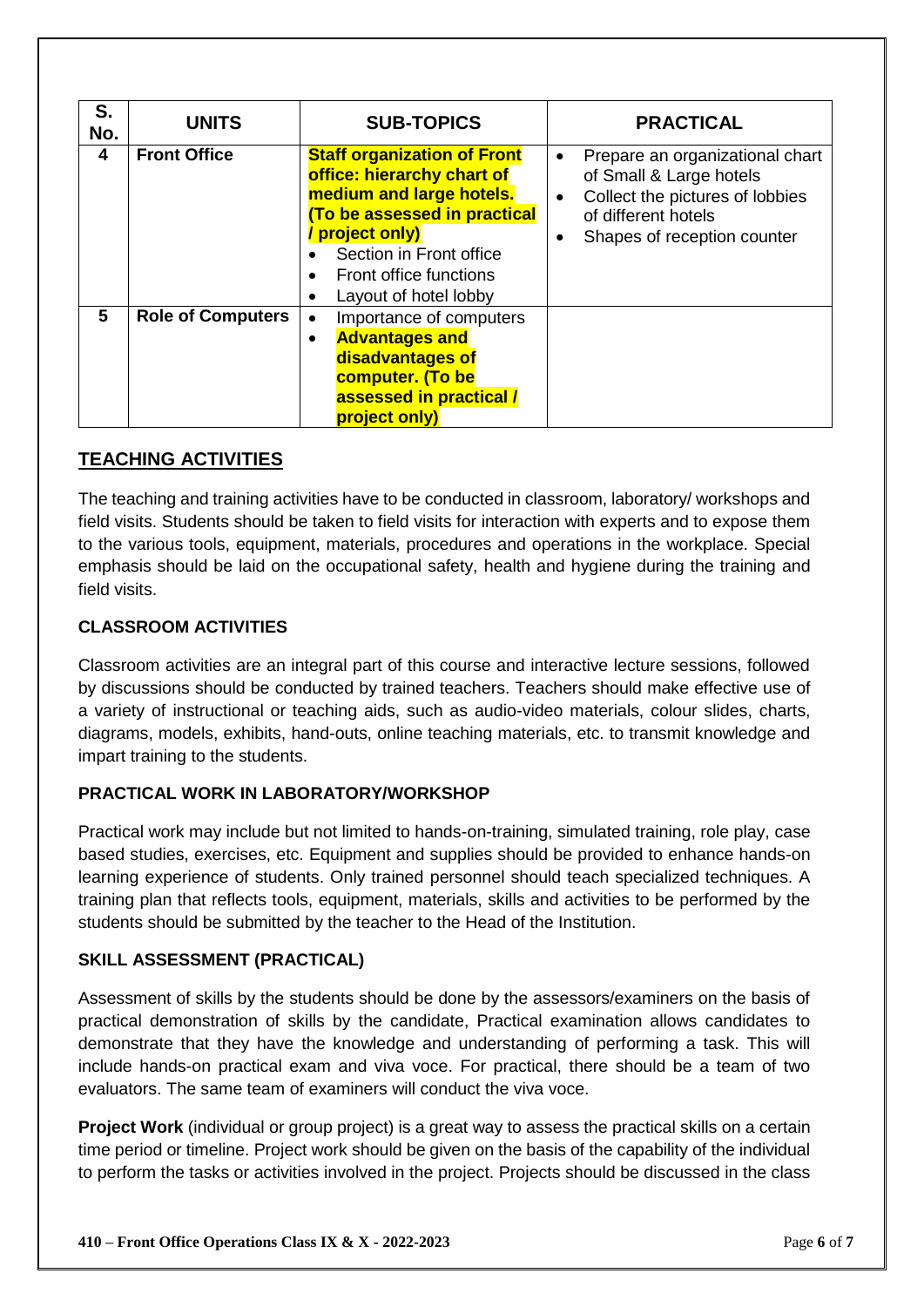| S.<br>No. | <b>UNITS</b>             | <b>SUB-TOPICS</b>                                                                                                                                                                                                                    | <b>PRACTICAL</b>                                                                                                                                                                           |
|-----------|--------------------------|--------------------------------------------------------------------------------------------------------------------------------------------------------------------------------------------------------------------------------------|--------------------------------------------------------------------------------------------------------------------------------------------------------------------------------------------|
| 4         | <b>Front Office</b>      | <b>Staff organization of Front</b><br>office: hierarchy chart of<br>medium and large hotels.<br>(To be assessed in practical<br>/ project only)<br>Section in Front office<br><b>Front office functions</b><br>Layout of hotel lobby | Prepare an organizational chart<br>$\bullet$<br>of Small & Large hotels<br>Collect the pictures of lobbies<br>$\bullet$<br>of different hotels<br>Shapes of reception counter<br>$\bullet$ |
| 5         | <b>Role of Computers</b> | Importance of computers<br>$\bullet$<br><b>Advantages and</b><br>$\bullet$<br>disadvantages of<br>computer. (To be<br>assessed in practical /<br>project only)                                                                       |                                                                                                                                                                                            |

#### **TEACHING ACTIVITIES**

The teaching and training activities have to be conducted in classroom, laboratory/ workshops and field visits. Students should be taken to field visits for interaction with experts and to expose them to the various tools, equipment, materials, procedures and operations in the workplace. Special emphasis should be laid on the occupational safety, health and hygiene during the training and field visits.

#### **CLASSROOM ACTIVITIES**

Classroom activities are an integral part of this course and interactive lecture sessions, followed by discussions should be conducted by trained teachers. Teachers should make effective use of a variety of instructional or teaching aids, such as audio-video materials, colour slides, charts, diagrams, models, exhibits, hand-outs, online teaching materials, etc. to transmit knowledge and impart training to the students.

#### **PRACTICAL WORK IN LABORATORY/WORKSHOP**

Practical work may include but not limited to hands-on-training, simulated training, role play, case based studies, exercises, etc. Equipment and supplies should be provided to enhance hands-on learning experience of students. Only trained personnel should teach specialized techniques. A training plan that reflects tools, equipment, materials, skills and activities to be performed by the students should be submitted by the teacher to the Head of the Institution.

#### **SKILL ASSESSMENT (PRACTICAL)**

Assessment of skills by the students should be done by the assessors/examiners on the basis of practical demonstration of skills by the candidate, Practical examination allows candidates to demonstrate that they have the knowledge and understanding of performing a task. This will include hands-on practical exam and viva voce. For practical, there should be a team of two evaluators. The same team of examiners will conduct the viva voce.

**Project Work** (individual or group project) is a great way to assess the practical skills on a certain time period or timeline. Project work should be given on the basis of the capability of the individual to perform the tasks or activities involved in the project. Projects should be discussed in the class